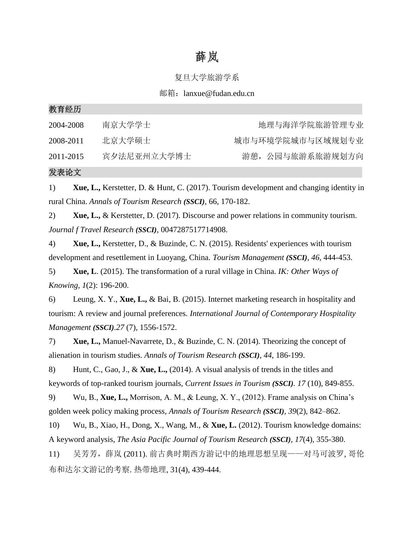# 薛岚

### 复旦大学旅游学系

### 邮箱:lanxue@fudan.edu.cn

| 3人 月 江 ルノ |             |                  |
|-----------|-------------|------------------|
| 2004-2008 | 南京大学学士      | 地理与海洋学院旅游管理专业    |
| 2008-2011 | 北京大学硕士      | 城市与环境学院城市与区域规划专业 |
| 2011-2015 | 宾夕法尼亚州立大学博士 | 游憩, 公园与旅游系旅游规划方向 |
|           |             |                  |

#### 发表论文

教育经历

1) **Xue, L.,** Kerstetter, D. & Hunt, C. (2017). Tourism development and changing identity in rural China. *Annals of Tourism Research (SSCI)*, 66, 170-182.

2) **Xue, L.,** & Kerstetter, D. (2017). Discourse and power relations in community tourism. *Journal f Travel Research (SSCI),* 0047287517714908.

4) **Xue, L.,** Kerstetter, D., & Buzinde, C. N. (2015). Residents' experiences with tourism development and resettlement in Luoyang, China. *Tourism Management (SSCI)*, *46*, 444-453.

5) **Xue, L**. (2015). The transformation of a rural village in China. *IK: Other Ways of Knowing, 1*(2): 196-200.

6) Leung, X. Y., **Xue, L.,** & Bai, B. (2015). Internet marketing research in hospitality and tourism: A review and journal preferences. *International Journal of Contemporary Hospitality Management (SSCI).27* (7), 1556-1572.

7) **Xue, L.,** Manuel-Navarrete, D., & Buzinde, C. N. (2014). Theorizing the concept of alienation in tourism studies. *Annals of Tourism Research (SSCI), 44*, 186-199.

8) Hunt, C., Gao, J., & **Xue, L.,** (2014). A visual analysis of trends in the titles and keywords of top-ranked tourism journals, *Current Issues in Tourism (SSCI). 17* (10), 849-855.

9) Wu, B., **Xue, L.,** Morrison, A. M., & Leung, X. Y., (2012). Frame analysis on China's golden week policy making process, *Annals of Tourism Research (SSCI), 39*(2), 842–862.

10) Wu, B., Xiao, H., Dong, X., Wang, M., & **Xue, L.** (2012). Tourism knowledge domains: A keyword analysis, *The Asia Pacific Journal of Tourism Research (SSCI), 17*(4), 355-380.

11) 吴芳芳,薛岚 (2011). 前古典时期西方游记中的地理思想呈现——对马可波罗, 哥伦 布和达尔文游记的考察. 热带地理, 31(4), 439-444.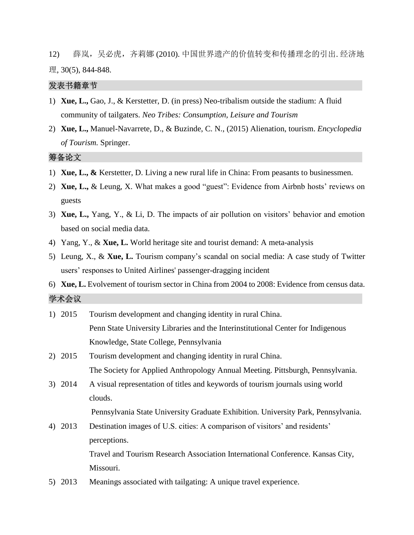12) 薛岚,吴必虎,齐莉娜 (2010). 中国世界遗产的价值转变和传播理念的引出. 经济地 理, 30(5), 844-848.

## 发表书籍章节

- 1) **Xue, L.,** Gao, J., & Kerstetter, D. (in press) Neo-tribalism outside the stadium: A fluid community of tailgaters. *Neo Tribes: Consumption, Leisure and Tourism*
- 2) **Xue, L.,** Manuel-Navarrete, D., & Buzinde, C. N., (2015) Alienation, tourism. *Encyclopedia of Tourism.* Springer.

筹备论文

- 1) **Xue, L., &** Kerstetter, D. Living a new rural life in China: From peasants to businessmen.
- 2) **Xue, L.,** & Leung, X. What makes a good "guest": Evidence from Airbnb hosts' reviews on guests
- 3) **Xue, L.,** Yang, Y., & Li, D. The impacts of air pollution on visitors' behavior and emotion based on social media data.
- 4) Yang, Y., & **Xue, L.** World heritage site and tourist demand: A meta-analysis
- 5) Leung, X., & **Xue, L.** Tourism company's scandal on social media: A case study of Twitter users' responses to United Airlines' passenger-dragging incident
- 6) **Xue, L.** Evolvement of tourism sector in China from 2004 to 2008: Evidence from census data.

#### 学术会议

- 1) 2015 Tourism development and changing identity in rural China. Penn State University Libraries and the Interinstitutional Center for Indigenous Knowledge, State College, Pennsylvania 2) 2015 Tourism development and changing identity in rural China. The Society for Applied Anthropology Annual Meeting. Pittsburgh, Pennsylvania. 3) 2014 A visual representation of titles and keywords of tourism journals using world clouds. Pennsylvania State University Graduate Exhibition. University Park, Pennsylvania. 4) 2013 Destination images of U.S. cities: A comparison of visitors' and residents' perceptions. Travel and Tourism Research Association International Conference. Kansas City, Missouri.
- 5) 2013 Meanings associated with tailgating: A unique travel experience.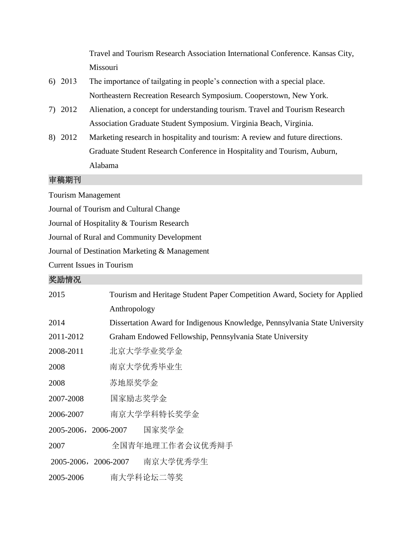Travel and Tourism Research Association International Conference. Kansas City, Missouri

- 6) 2013 The importance of tailgating in people's connection with a special place. Northeastern Recreation Research Symposium. Cooperstown, New York.
- 7) 2012 Alienation, a concept for understanding tourism. Travel and Tourism Research Association Graduate Student Symposium. Virginia Beach, Virginia.
- 8) 2012 Marketing research in hospitality and tourism: A review and future directions. Graduate Student Research Conference in Hospitality and Tourism, Auburn, Alabama

## 审稿期刊

Tourism Management

Journal of Tourism and Cultural Change

Journal of Hospitality & Tourism Research

Journal of Rural and Community Development

Journal of Destination Marketing & Management

Current Issues in Tourism

# 奖励情况

| 2015                 | Tourism and Heritage Student Paper Competition Award, Society for Applied  |                                                          |  |  |
|----------------------|----------------------------------------------------------------------------|----------------------------------------------------------|--|--|
|                      | Anthropology                                                               |                                                          |  |  |
| 2014                 | Dissertation Award for Indigenous Knowledge, Pennsylvania State University |                                                          |  |  |
| 2011-2012            |                                                                            | Graham Endowed Fellowship, Pennsylvania State University |  |  |
| 2008-2011            | 北京大学学业奖学金                                                                  |                                                          |  |  |
| 2008                 | 南京大学优秀毕业生                                                                  |                                                          |  |  |
| 2008                 | 苏地原奖学金                                                                     |                                                          |  |  |
| 2007-2008            | 国家励志奖学金                                                                    |                                                          |  |  |
| 2006-2007            | 南京大学学科特长奖学金                                                                |                                                          |  |  |
| 2005-2006, 2006-2007 |                                                                            | 国家奖学金                                                    |  |  |
| 2007                 |                                                                            | 全国青年地理工作者会议优秀辩手                                          |  |  |
| 2005-2006,2006-2007  |                                                                            | 南京大学优秀学生                                                 |  |  |
| 2005-2006            |                                                                            | 南大学科论坛二等奖                                                |  |  |